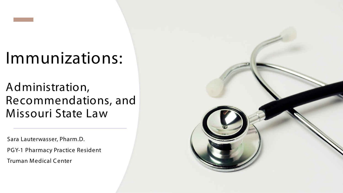### Immunizations:

Administration, Recommendations, and Missouri State Law

Sara Lauterwasser, Pharm.D. PGY-1 Pharmacy Practice Resident Truman Medical C enter

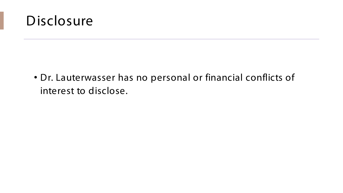

• Dr. Lauterwasser has no personal or financial conflicts of interest to disclose.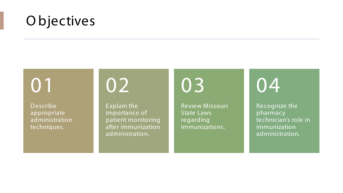### O bjectives

## 01

Describe appropriate administration techniques.

02

Explain the importance of patient monitoring after immunization administration.

03

Review Missouri State Laws regarding immunizations.

### 04

Recognize the pharmacy technician's role in immunization administration.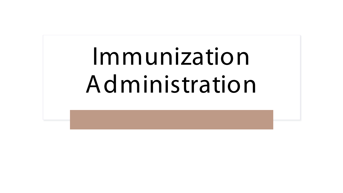# Immunization Administration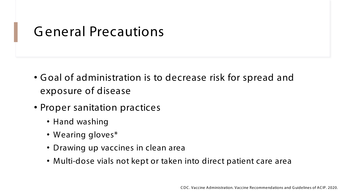### G eneral Precautions

- G oal of administration is to decrease risk for spread and exposure of disease
- Proper sanitation practices
	- Hand washing
	- Wearing gloves\*
	- Drawing up vaccines in clean area
	- Multi-dose vials not kept or taken into direct patient care area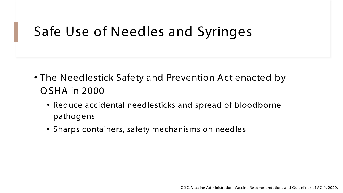### Safe Use of Needles and Syringes

- The Needlestick Safety and Prevention Act enacted by O SHA in 2000
	- Reduce accidental needlesticks and spread of bloodborne pathogens
	- Sharps containers, safety mechanisms on needles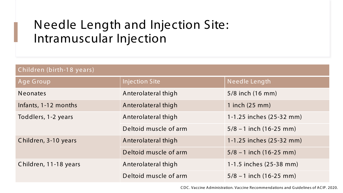### Needle Length and Injection Site: Intramuscular Injection

| Children (birth-18 years) |                       |                           |  |
|---------------------------|-----------------------|---------------------------|--|
| Age Group                 | <b>Injection Site</b> | Needle Length             |  |
| <b>Neonates</b>           | Anterolateral thigh   | 5/8 inch (16 mm)          |  |
| Infants, 1-12 months      | Anterolateral thigh   | 1 inch $(25 \text{ mm})$  |  |
| Toddlers, 1-2 years       | Anterolateral thigh   | 1-1.25 inches (25-32 mm)  |  |
|                           | Deltoid muscle of arm | $5/8 - 1$ inch (16-25 mm) |  |
| Children, 3-10 years      | Anterolateral thigh   | 1-1.25 inches (25-32 mm)  |  |
|                           | Deltoid muscle of arm | $5/8 - 1$ inch (16-25 mm) |  |
| Children, 11-18 years     | Anterolateral thigh   | 1-1.5 inches (25-38 mm)   |  |
|                           | Deltoid muscle of arm | $5/8 - 1$ inch (16-25 mm) |  |

C DC . Vaccine Administration. Vaccine Recommendations and G uidelines of AC IP. 2020.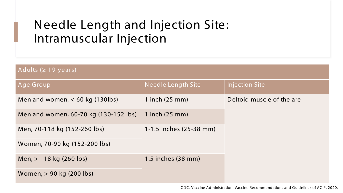### Needle Length and Injection Site: Intramuscular Injection

| Adults ( $\geq$ 19 years)             |                          |                           |  |
|---------------------------------------|--------------------------|---------------------------|--|
| Age Group                             | Needle Length Site       | <b>Injection Site</b>     |  |
| Men and women, $<$ 60 kg (130lbs)     | 1 inch $(25 \text{ mm})$ | Deltoid muscle of the are |  |
| Men and women, 60-70 kg (130-152 lbs) | 1 inch $(25 \text{ mm})$ |                           |  |
| Men, 70-118 kg (152-260 lbs)          | 1-1.5 inches (25-38 mm)  |                           |  |
| Women, 70-90 kg (152-200 lbs)         |                          |                           |  |
| Men, $> 118$ kg (260 lbs)             | 1.5 inches (38 mm)       |                           |  |
| Women, > 90 kg (200 lbs)              |                          |                           |  |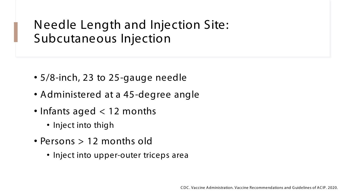Needle Length and Injection Site: Subcutaneous Injection

- 5/8-inch, 23 to 25-gauge needle
- Administered at a 45-degree angle
- Infants aged < 12 months
	- Inject into thigh
- Persons > 12 months old
	- Inject into upper-outer triceps area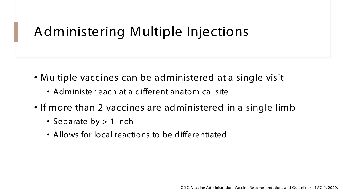### Administering Multiple Injections

- Multiple vaccines can be administered at a single visit
	- Administer each at a different anatomical site
- If more than 2 vaccines are administered in a single limb
	- Separate by > 1 inch
	- Allows for local reactions to be differentiated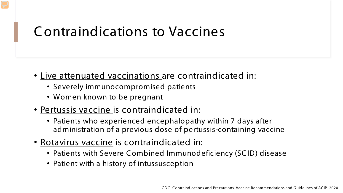### C ontraindications to Vaccines

- Live attenuated vaccinations are contraindicated in:
	- Severely immunocompromised patients
	- Women known to be pregnant
- Pertussis vaccine is contraindicated in:
	- Patients who experienced encephalopathy within 7 days after administration of a previous dose of pertussis-containing vaccine
- Rotavirus vaccine is contraindicated in:
	- Patients with Severe C ombined Immunodeficiency (SC ID) disease
	- Patient with a history of intussusception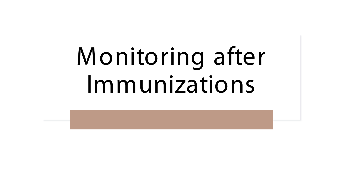# Monitoring after Immunizations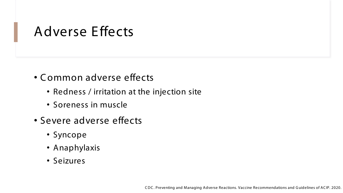### Adverse Effects

- C ommon adverse effects
	- Redness / irritation at the injection site
	- Soreness in muscle
- Severe adverse effects
	- Syncope
	- Anaphylaxis
	- Seizures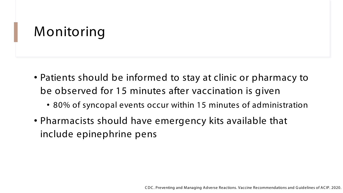### Monitoring

- Patients should be informed to stay at clinic or pharmacy to be observed for 15 minutes after vaccination is given
	- 80% of syncopal events occur within 15 minutes of administration
- Pharmacists should have emergency kits available that include epinephrine pens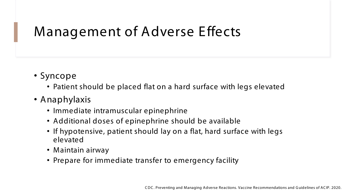### Management of Adverse Effects

- Syncope
	- Patient should be placed flat on a hard surface with legs elevated
- Anaphylaxis
	- Immediate intramuscular epinephrine
	- Additional doses of epinephrine should be available
	- If hypotensive, patient should lay on a flat, hard surface with legs elevated
	- Maintain airway
	- Prepare for immediate transfer to emergency facility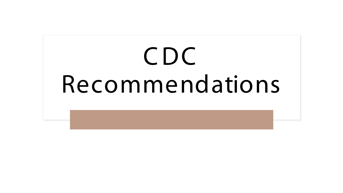# CDC Recommendations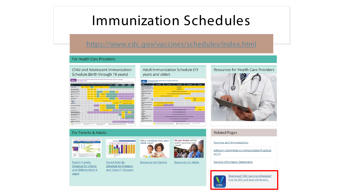### Immunization Schedules

#### <https://www.cdc.gov/vaccines/schedules/index.html>

#### For Health Care Providers

#### Child and Adolescent Immunization Schedule (birth through 18 years)



Parent-Friendly

**Schedule for Preteens** 

and Teens (7-18 years)

#### **Adult Immunization Schedule (19)** years and older)



Do you know which

adult vaccines need?

#### **Resources for Health Care Providers**



#### For Parents & Adults



Parent-Friendly Schedule for Infants and Children (birth-6 years)



**Resources for Parents Resources for Adults** 

#### **Vaccines and Immunizations**

Advisory Committee on Immunization Practices  $(ACIP)$ 

**Vaccine Information Statements** 



**Related Pages** 

Download "CDC Vaccine Schedules" free for iOS and Android devices.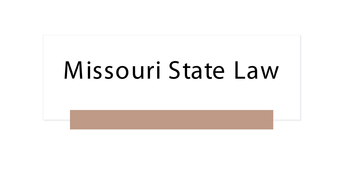## Missouri State Law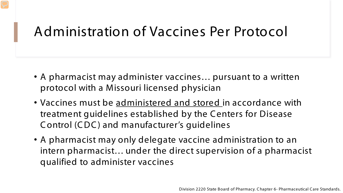### Administration of Vaccines Per Protocol

- A pharmacist may administer vaccines… pursuant to a written protocol with a Missouri licensed physician
- Vaccines must be administered and stored in accordance with treatment guidelines established by the C enters for Disease C ontrol (C DC ) and manufacturer's guidelines
- A pharmacist may only delegate vaccine administration to an intern pharmacist… under the direct supervision of a pharmacist qualified to administer vaccines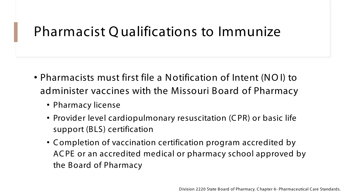### Pharmacist Q ualifications to Immunize

- Pharmacists must first file a Notification of Intent (NO I) to administer vaccines with the Missouri Board of Pharmacy
	- Pharmacy license
	- Provider level cardiopulmonary resuscitation (C PR) or basic life support (BLS) certification
	- C ompletion of vaccination certification program accredited by AC PE or an accredited medical or pharmacy school approved by the Board of Pharmacy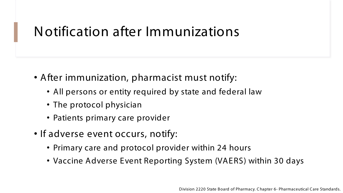### Notification after Immunizations

- After immunization, pharmacist must notify:
	- All persons or entity required by state and federal law
	- The protocol physician
	- Patients primary care provider
- If adverse event occurs, notify:
	- Primary care and protocol provider within 24 hours
	- Vaccine Adverse Event Reporting System (VAERS) within 30 days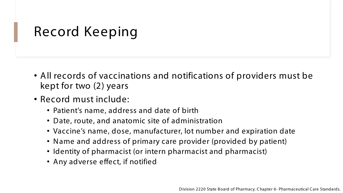### Record Keeping

- All records of vaccinations and notifications of providers must be kept for two (2) years
- Record must include:
	- Patient's name, address and date of birth
	- Date, route, and anatomic site of administration
	- Vaccine's name, dose, manufacturer, lot number and expiration date
	- Name and address of primary care provider (provided by patient)
	- Identity of pharmacist (or intern pharmacist and pharmacist)
	- Any adverse effect, if notified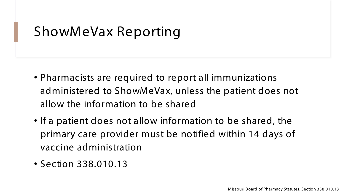### ShowMeVax Reporting

- Pharmacists are required to report all immunizations administered to ShowMeVax, unless the patient does not allow the information to be shared
- If a patient does not allow information to be shared, the primary care provider must be notified within 14 days of vaccine administration
- Section 338.010.13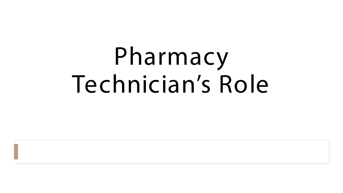# Pharmacy Technician's Role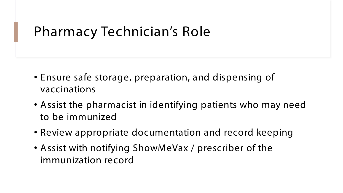### Pharmacy Technician's Role

- Ensure safe storage, preparation, and dispensing of vaccinations
- Assist the pharmacist in identifying patients who may need to be immunized
- Review appropriate documentation and record keeping
- Assist with notifying ShowMeVax / prescriber of the immunization record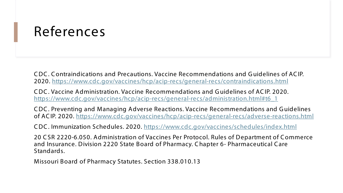### References

C DC . C ontraindications and Precautions. Vaccine Recommendations and G uidelines of AC IP. 2020. <https://www.cdc.gov/vaccines/hcp/acip-recs/general-recs/contraindications.html>

C DC . Vaccine Administration. Vaccine Recommendations and G uidelines of AC IP. 2020. [https://www.cdc.gov/vaccines/hcp/acip-recs/general-recs/administration.html#t6\\_1](https://www.cdc.gov/vaccines/hcp/acip-recs/general-recs/administration.html#t6_1)

C DC . Preventing and Managing Adverse Reactions. Vaccine Recommendations and G uidelines of AC IP. 2020. <https://www.cdc.gov/vaccines/hcp/acip-recs/general-recs/adverse-reactions.html>

C DC . Immunization Schedules. 2020. <https://www.cdc.gov/vaccines/schedules/index.html>

20 CSR 2220-6.050. Administration of Vaccines Per Protocol. Rules of Department of C ommerce and Insurance. Division 2220 State Board of Pharmacy. C hapter 6- Pharmaceutical C are Standards.

Missouri Board of Pharmacy Statutes. Section 338.010.13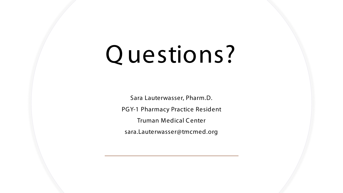## Q uestions?

Sara Lauterwasser, Pharm.D. PGY-1 Pharmacy Practice Resident Truman Medical C enter sara.Lauterwasser@tmcmed.org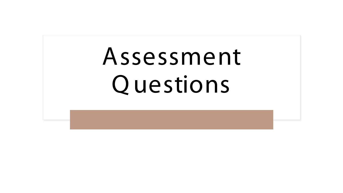# Assessment Q uestions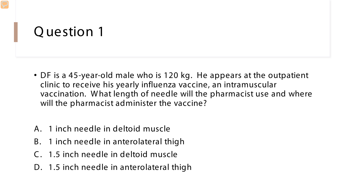- DF is a 45-year-old male who is 120 kg. He appears at the outpatient clinic to receive his yearly influenza vaccine, an intramuscular vaccination. W hat length of needle will the pharmacist use and where will the pharmacist administer the vaccine?
- A. 1 inch needle in deltoid muscle
- B. 1 inch needle in anterolateral thigh
- C . 1.5 inch needle in deltoid muscle
- D. 1.5 inch needle in anterolateral thigh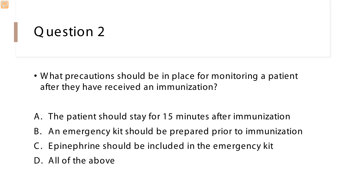- W hat precautions should be in place for monitoring a patient after they have received an immunization?
- A. The patient should stay for 15 minutes after immunization
- B. An emergency kit should be prepared prior to immunization
- C . Epinephrine should be included in the emergency kit
- D. All of the above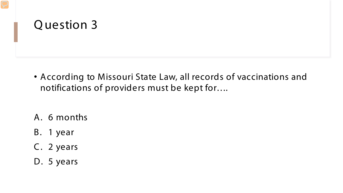- According to Missouri State Law, all records of vaccinations and notifications of providers must be kept for….
- A. 6 months
- B. 1 year
- C. 2 years
- D. 5 years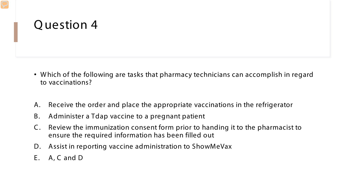- W hich of the following are tasks that pharmacy technicians can accomplish in regard to vaccinations?
- A. Receive the order and place the appropriate vaccinations in the refrigerator
- B. Administer a Tdap vaccine to a pregnant patient
- C . Review the immunization consent form prior to handing it to the pharmacist to ensure the required information has been filled out
- D. Assist in reporting vaccine administration to ShowMeVax
- E. A, C and D